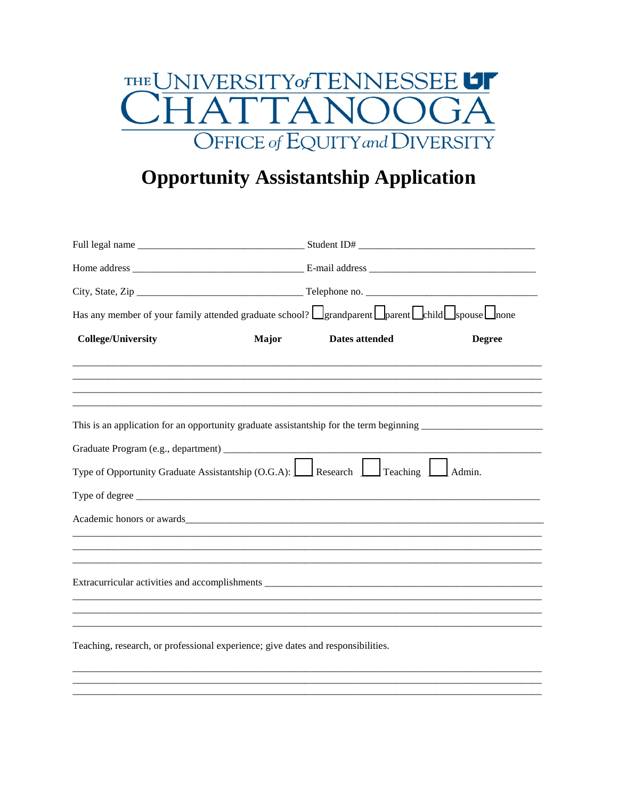

## **Opportunity Assistantship Application**

| Has any member of your family attended graduate school? $\Box$ grandparent $\Box$ parent $\Box$ child $\Box$ spouse $\Box$ none                                                                                                |              |                |               |  |
|--------------------------------------------------------------------------------------------------------------------------------------------------------------------------------------------------------------------------------|--------------|----------------|---------------|--|
| <b>College/University</b>                                                                                                                                                                                                      | <b>Major</b> | Dates attended | <b>Degree</b> |  |
|                                                                                                                                                                                                                                |              |                |               |  |
|                                                                                                                                                                                                                                |              |                |               |  |
|                                                                                                                                                                                                                                |              |                |               |  |
| Type of Opportunity Graduate Assistantship $(O.G.A):$ Research $\boxed{\phantom{0}}$ Teaching $\boxed{\phantom{0}}$ Admin.                                                                                                     |              |                |               |  |
|                                                                                                                                                                                                                                |              |                |               |  |
| Academic honors or awards experience and the contract of the contract of the contract of the contract of the contract of the contract of the contract of the contract of the contract of the contract of the contract of the c |              |                |               |  |
|                                                                                                                                                                                                                                |              |                |               |  |
|                                                                                                                                                                                                                                |              |                |               |  |
|                                                                                                                                                                                                                                |              |                |               |  |
|                                                                                                                                                                                                                                |              |                |               |  |
|                                                                                                                                                                                                                                |              |                |               |  |
| Teaching, research, or professional experience; give dates and responsibilities.                                                                                                                                               |              |                |               |  |